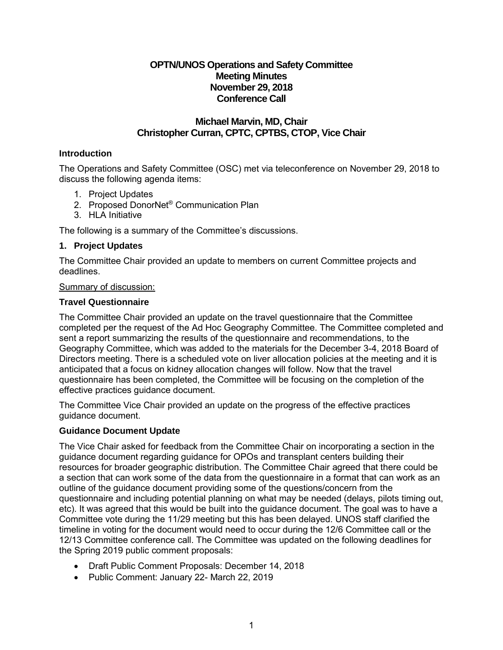# **OPTN/UNOS Operations and Safety Committee Meeting Minutes November 29, 2018 Conference Call**

## **Michael Marvin, MD, Chair Christopher Curran, CPTC, CPTBS, CTOP, Vice Chair**

## **Introduction**

The Operations and Safety Committee (OSC) met via teleconference on November 29, 2018 to discuss the following agenda items:

- 1. Project Updates
- 2. Proposed DonorNet® Communication Plan
- 3. HLA Initiative

The following is a summary of the Committee's discussions.

## **1. Project Updates**

The Committee Chair provided an update to members on current Committee projects and deadlines.

#### Summary of discussion:

#### **Travel Questionnaire**

The Committee Chair provided an update on the travel questionnaire that the Committee completed per the request of the Ad Hoc Geography Committee. The Committee completed and sent a report summarizing the results of the questionnaire and recommendations, to the Geography Committee, which was added to the materials for the December 3-4, 2018 Board of Directors meeting. There is a scheduled vote on liver allocation policies at the meeting and it is anticipated that a focus on kidney allocation changes will follow. Now that the travel questionnaire has been completed, the Committee will be focusing on the completion of the effective practices guidance document.

The Committee Vice Chair provided an update on the progress of the effective practices guidance document.

#### **Guidance Document Update**

The Vice Chair asked for feedback from the Committee Chair on incorporating a section in the guidance document regarding guidance for OPOs and transplant centers building their resources for broader geographic distribution. The Committee Chair agreed that there could be a section that can work some of the data from the questionnaire in a format that can work as an outline of the guidance document providing some of the questions/concern from the questionnaire and including potential planning on what may be needed (delays, pilots timing out, etc). It was agreed that this would be built into the guidance document. The goal was to have a Committee vote during the 11/29 meeting but this has been delayed. UNOS staff clarified the timeline in voting for the document would need to occur during the 12/6 Committee call or the 12/13 Committee conference call. The Committee was updated on the following deadlines for the Spring 2019 public comment proposals:

- Draft Public Comment Proposals: December 14, 2018
- Public Comment: January 22- March 22, 2019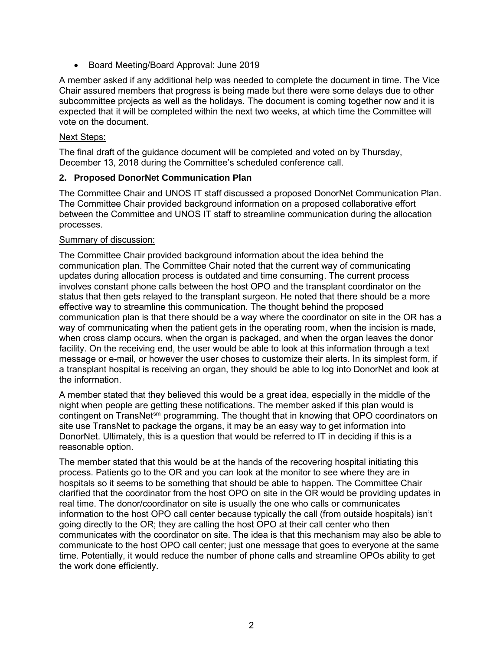• Board Meeting/Board Approval: June 2019

A member asked if any additional help was needed to complete the document in time. The Vice Chair assured members that progress is being made but there were some delays due to other subcommittee projects as well as the holidays. The document is coming together now and it is expected that it will be completed within the next two weeks, at which time the Committee will vote on the document.

#### Next Steps:

The final draft of the guidance document will be completed and voted on by Thursday, December 13, 2018 during the Committee's scheduled conference call.

#### **2. Proposed DonorNet Communication Plan**

The Committee Chair and UNOS IT staff discussed a proposed DonorNet Communication Plan. The Committee Chair provided background information on a proposed collaborative effort between the Committee and UNOS IT staff to streamline communication during the allocation processes.

#### Summary of discussion:

The Committee Chair provided background information about the idea behind the communication plan. The Committee Chair noted that the current way of communicating updates during allocation process is outdated and time consuming. The current process involves constant phone calls between the host OPO and the transplant coordinator on the status that then gets relayed to the transplant surgeon. He noted that there should be a more effective way to streamline this communication. The thought behind the proposed communication plan is that there should be a way where the coordinator on site in the OR has a way of communicating when the patient gets in the operating room, when the incision is made, when cross clamp occurs, when the organ is packaged, and when the organ leaves the donor facility. On the receiving end, the user would be able to look at this information through a text message or e-mail, or however the user choses to customize their alerts. In its simplest form, if a transplant hospital is receiving an organ, they should be able to log into DonorNet and look at the information.

A member stated that they believed this would be a great idea, especially in the middle of the night when people are getting these notifications. The member asked if this plan would is contingent on TransNet<sup>sm</sup> programming. The thought that in knowing that OPO coordinators on site use TransNet to package the organs, it may be an easy way to get information into DonorNet. Ultimately, this is a question that would be referred to IT in deciding if this is a reasonable option.

The member stated that this would be at the hands of the recovering hospital initiating this process. Patients go to the OR and you can look at the monitor to see where they are in hospitals so it seems to be something that should be able to happen. The Committee Chair clarified that the coordinator from the host OPO on site in the OR would be providing updates in real time. The donor/coordinator on site is usually the one who calls or communicates information to the host OPO call center because typically the call (from outside hospitals) isn't going directly to the OR; they are calling the host OPO at their call center who then communicates with the coordinator on site. The idea is that this mechanism may also be able to communicate to the host OPO call center; just one message that goes to everyone at the same time. Potentially, it would reduce the number of phone calls and streamline OPOs ability to get the work done efficiently.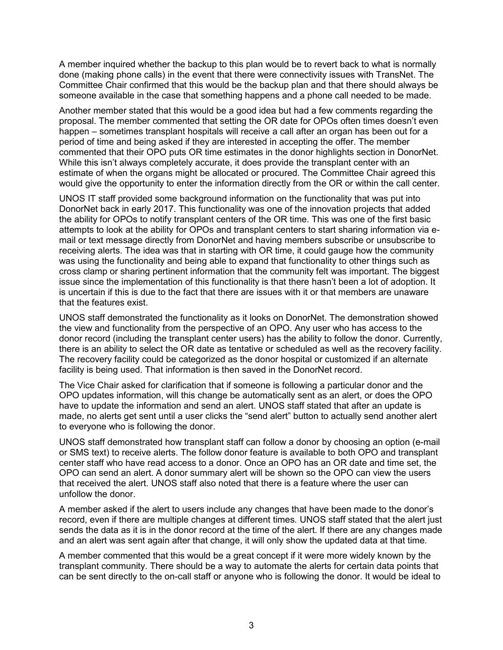A member inquired whether the backup to this plan would be to revert back to what is normally done (making phone calls) in the event that there were connectivity issues with TransNet. The Committee Chair confirmed that this would be the backup plan and that there should always be someone available in the case that something happens and a phone call needed to be made.

Another member stated that this would be a good idea but had a few comments regarding the proposal. The member commented that setting the OR date for OPOs often times doesn't even happen – sometimes transplant hospitals will receive a call after an organ has been out for a period of time and being asked if they are interested in accepting the offer. The member commented that their OPO puts OR time estimates in the donor highlights section in DonorNet. While this isn't always completely accurate, it does provide the transplant center with an estimate of when the organs might be allocated or procured. The Committee Chair agreed this would give the opportunity to enter the information directly from the OR or within the call center.

UNOS IT staff provided some background information on the functionality that was put into DonorNet back in early 2017. This functionality was one of the innovation projects that added the ability for OPOs to notify transplant centers of the OR time. This was one of the first basic attempts to look at the ability for OPOs and transplant centers to start sharing information via email or text message directly from DonorNet and having members subscribe or unsubscribe to receiving alerts. The idea was that in starting with OR time, it could gauge how the community was using the functionality and being able to expand that functionality to other things such as cross clamp or sharing pertinent information that the community felt was important. The biggest issue since the implementation of this functionality is that there hasn't been a lot of adoption. It is uncertain if this is due to the fact that there are issues with it or that members are unaware that the features exist.

UNOS staff demonstrated the functionality as it looks on DonorNet. The demonstration showed the view and functionality from the perspective of an OPO. Any user who has access to the donor record (including the transplant center users) has the ability to follow the donor. Currently, there is an ability to select the OR date as tentative or scheduled as well as the recovery facility. The recovery facility could be categorized as the donor hospital or customized if an alternate facility is being used. That information is then saved in the DonorNet record.

The Vice Chair asked for clarification that if someone is following a particular donor and the OPO updates information, will this change be automatically sent as an alert, or does the OPO have to update the information and send an alert. UNOS staff stated that after an update is made, no alerts get sent until a user clicks the "send alert" button to actually send another alert to everyone who is following the donor.

UNOS staff demonstrated how transplant staff can follow a donor by choosing an option (e-mail or SMS text) to receive alerts. The follow donor feature is available to both OPO and transplant center staff who have read access to a donor. Once an OPO has an OR date and time set, the OPO can send an alert. A donor summary alert will be shown so the OPO can view the users that received the alert. UNOS staff also noted that there is a feature where the user can unfollow the donor.

A member asked if the alert to users include any changes that have been made to the donor's record, even if there are multiple changes at different times. UNOS staff stated that the alert just sends the data as it is in the donor record at the time of the alert. If there are any changes made and an alert was sent again after that change, it will only show the updated data at that time.

A member commented that this would be a great concept if it were more widely known by the transplant community. There should be a way to automate the alerts for certain data points that can be sent directly to the on-call staff or anyone who is following the donor. It would be ideal to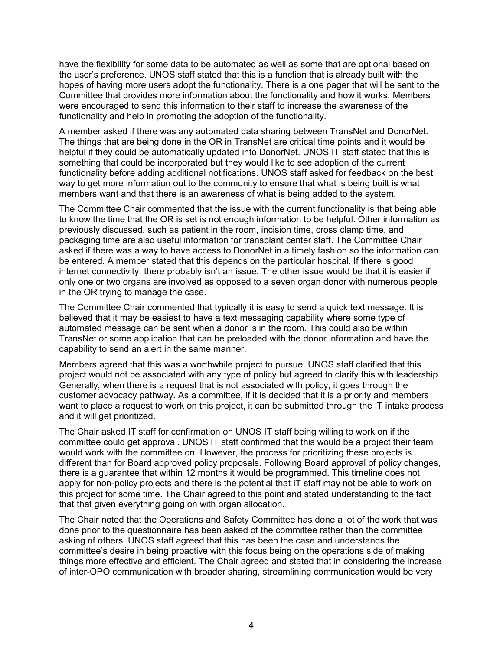have the flexibility for some data to be automated as well as some that are optional based on the user's preference. UNOS staff stated that this is a function that is already built with the hopes of having more users adopt the functionality. There is a one pager that will be sent to the Committee that provides more information about the functionality and how it works. Members were encouraged to send this information to their staff to increase the awareness of the functionality and help in promoting the adoption of the functionality.

A member asked if there was any automated data sharing between TransNet and DonorNet. The things that are being done in the OR in TransNet are critical time points and it would be helpful if they could be automatically updated into DonorNet. UNOS IT staff stated that this is something that could be incorporated but they would like to see adoption of the current functionality before adding additional notifications. UNOS staff asked for feedback on the best way to get more information out to the community to ensure that what is being built is what members want and that there is an awareness of what is being added to the system.

The Committee Chair commented that the issue with the current functionality is that being able to know the time that the OR is set is not enough information to be helpful. Other information as previously discussed, such as patient in the room, incision time, cross clamp time, and packaging time are also useful information for transplant center staff. The Committee Chair asked if there was a way to have access to DonorNet in a timely fashion so the information can be entered. A member stated that this depends on the particular hospital. If there is good internet connectivity, there probably isn't an issue. The other issue would be that it is easier if only one or two organs are involved as opposed to a seven organ donor with numerous people in the OR trying to manage the case.

The Committee Chair commented that typically it is easy to send a quick text message. It is believed that it may be easiest to have a text messaging capability where some type of automated message can be sent when a donor is in the room. This could also be within TransNet or some application that can be preloaded with the donor information and have the capability to send an alert in the same manner.

Members agreed that this was a worthwhile project to pursue. UNOS staff clarified that this project would not be associated with any type of policy but agreed to clarify this with leadership. Generally, when there is a request that is not associated with policy, it goes through the customer advocacy pathway. As a committee, if it is decided that it is a priority and members want to place a request to work on this project, it can be submitted through the IT intake process and it will get prioritized.

The Chair asked IT staff for confirmation on UNOS IT staff being willing to work on if the committee could get approval. UNOS IT staff confirmed that this would be a project their team would work with the committee on. However, the process for prioritizing these projects is different than for Board approved policy proposals. Following Board approval of policy changes, there is a guarantee that within 12 months it would be programmed. This timeline does not apply for non-policy projects and there is the potential that IT staff may not be able to work on this project for some time. The Chair agreed to this point and stated understanding to the fact that that given everything going on with organ allocation.

The Chair noted that the Operations and Safety Committee has done a lot of the work that was done prior to the questionnaire has been asked of the committee rather than the committee asking of others. UNOS staff agreed that this has been the case and understands the committee's desire in being proactive with this focus being on the operations side of making things more effective and efficient. The Chair agreed and stated that in considering the increase of inter-OPO communication with broader sharing, streamlining communication would be very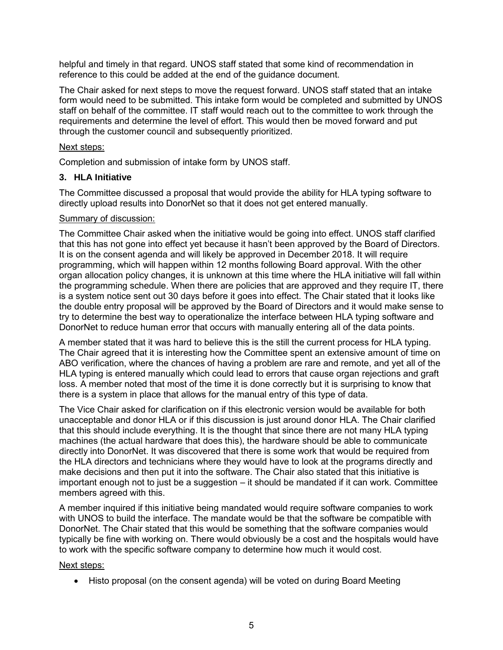helpful and timely in that regard. UNOS staff stated that some kind of recommendation in reference to this could be added at the end of the guidance document.

The Chair asked for next steps to move the request forward. UNOS staff stated that an intake form would need to be submitted. This intake form would be completed and submitted by UNOS staff on behalf of the committee. IT staff would reach out to the committee to work through the requirements and determine the level of effort. This would then be moved forward and put through the customer council and subsequently prioritized.

## Next steps:

Completion and submission of intake form by UNOS staff.

## **3. HLA Initiative**

The Committee discussed a proposal that would provide the ability for HLA typing software to directly upload results into DonorNet so that it does not get entered manually.

#### Summary of discussion:

The Committee Chair asked when the initiative would be going into effect. UNOS staff clarified that this has not gone into effect yet because it hasn't been approved by the Board of Directors. It is on the consent agenda and will likely be approved in December 2018. It will require programming, which will happen within 12 months following Board approval. With the other organ allocation policy changes, it is unknown at this time where the HLA initiative will fall within the programming schedule. When there are policies that are approved and they require IT, there is a system notice sent out 30 days before it goes into effect. The Chair stated that it looks like the double entry proposal will be approved by the Board of Directors and it would make sense to try to determine the best way to operationalize the interface between HLA typing software and DonorNet to reduce human error that occurs with manually entering all of the data points.

A member stated that it was hard to believe this is the still the current process for HLA typing. The Chair agreed that it is interesting how the Committee spent an extensive amount of time on ABO verification, where the chances of having a problem are rare and remote, and yet all of the HLA typing is entered manually which could lead to errors that cause organ rejections and graft loss. A member noted that most of the time it is done correctly but it is surprising to know that there is a system in place that allows for the manual entry of this type of data.

The Vice Chair asked for clarification on if this electronic version would be available for both unacceptable and donor HLA or if this discussion is just around donor HLA. The Chair clarified that this should include everything. It is the thought that since there are not many HLA typing machines (the actual hardware that does this), the hardware should be able to communicate directly into DonorNet. It was discovered that there is some work that would be required from the HLA directors and technicians where they would have to look at the programs directly and make decisions and then put it into the software. The Chair also stated that this initiative is important enough not to just be a suggestion – it should be mandated if it can work. Committee members agreed with this.

A member inquired if this initiative being mandated would require software companies to work with UNOS to build the interface. The mandate would be that the software be compatible with DonorNet. The Chair stated that this would be something that the software companies would typically be fine with working on. There would obviously be a cost and the hospitals would have to work with the specific software company to determine how much it would cost.

#### Next steps:

Histo proposal (on the consent agenda) will be voted on during Board Meeting